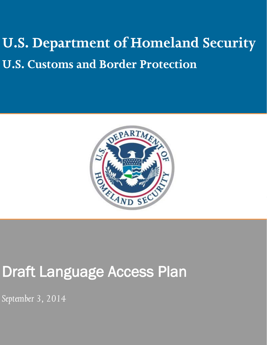# U.S. Department of Homeland Security **U.S. Customs and Border Protection**



## Draft Language Access Plan

*September 3, 2014*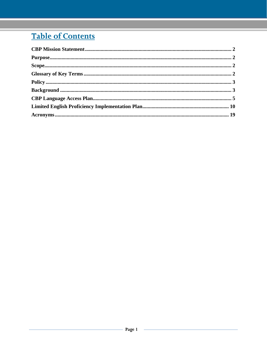## **Table of Contents**

| Purpose. 2 |  |
|------------|--|
|            |  |
|            |  |
|            |  |
|            |  |
|            |  |
|            |  |
|            |  |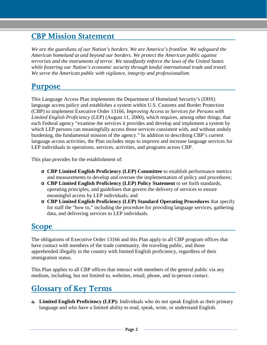## <span id="page-2-0"></span>**CBP Mission Statement**

*We are the guardians of our Nation's borders. We are America's frontline. We safeguard the American homeland at and beyond our borders. We protect the American public against terrorists and the instruments of terror. We steadfastly enforce the laws of the United States while fostering our Nation's economic security through lawful international trade and travel. We serve the American public with vigilance, integrity and professionalism.*

## <span id="page-2-1"></span>**Purpose**

This Language Access Plan implements the Department of Homeland Security's (DHS) language access policy and establishes a system within U.S. Customs and Border Protection (CBP) to implement Executive Order 13166, *Improving Access to Services for Persons with Limited English Proficiency* (LEP) (August 11, 2000), which requires, among other things, that each Federal agency "examine the services it provides and develop and implement a system by which LEP persons can meaningfully access those services consistent with, and without unduly burdening, the fundamental mission of the agency." In addition to describing CBP's current language access activities, the Plan includes steps to improve and increase language services for LEP individuals in operations, services, activities, and programs across CBP.

This plan provides for the establishment of:

- **o CBP Limited English Proficiency (LEP) Committee** to establish performance metrics and measurements to develop and oversee the implementation of policy and procedures;
- **o CBP Limited English Proficiency (LEP) Policy Statement** to set forth standards, operating principles, and guidelines that govern the delivery of services to ensure meaningful access by LEP individuals; and
- **o CBP Limited English Proficiency (LEP) Standard Operating Procedures** that specify for staff the "how to," including the procedure for providing language services, gathering data, and delivering services to LEP individuals.

## <span id="page-2-2"></span>**Scope**

The obligations of Executive Order 13166 and this Plan apply to all CBP program offices that have contact with members of the trade community, the traveling public, and those apprehended illegally in the country with limited English proficiency, regardless of their immigration status.

This Plan applies to all CBP offices that interact with members of the general public via any medium, including, but not limited to, websites, email, phone, and in-person contact.

## <span id="page-2-3"></span>**Glossary of Key Terms**

**a. Limited English Proficiency (LEP):** Individuals who do not speak English as their primary language and who have a limited ability to read, speak, write, or understand English.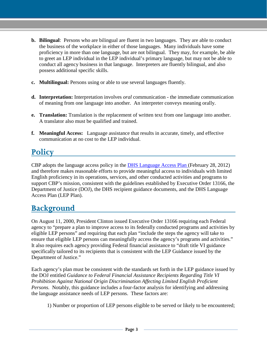- **b. Bilingual**: Persons who are bilingual are fluent in two languages. They are able to conduct the business of the workplace in either of those languages. Many individuals have some proficiency in more than one language, but are not bilingual. They may, for example, be able to greet an LEP individual in the LEP individual's primary language, but may not be able to conduct all agency business in that language. Interpreters are fluently bilingual, and also possess additional specific skills.
- **c. Multilingual:** Persons using or able to use several languages fluently.
- **d. Interpretation:** Interpretation involves *oral* communication the immediate communication of meaning from one language into another. An interpreter conveys meaning orally.
- **e. Translation:** Translation is the replacement of written text from one language into another. A translator also must be qualified and trained.
- **f. Meaningful Access:** Language assistance that results in accurate, timely, and effective communication at no cost to the LEP individual.

## <span id="page-3-0"></span>**Policy**

CBP adopts the language access policy in the [DHS Language Access Plan \(](http://www.dhs.gov/xlibrary/assets/crcl/crcl-dhs-language-access-plan.pdf)February 28, 2012) and therefore makes reasonable efforts to provide meaningful access to individuals with limited English proficiency in its operations, services, and other conducted activities and programs to support CBP's mission, consistent with the guidelines established by Executive Order 13166, the Department of Justice (DOJ), the DHS recipient guidance documents, and the DHS Language Access Plan (LEP Plan).

## <span id="page-3-1"></span>**Background**

On August 11, 2000, President Clinton issued Executive Order 13166 requiring each Federal agency to "prepare a plan to improve access to its federally conducted programs and activities by eligible LEP persons" and requiring that each plan "include the steps the agency will take to ensure that eligible LEP persons can meaningfully access the agency's programs and activities." It also requires each agency providing Federal financial assistance to "draft title VI guidance specifically tailored to its recipients that is consistent with the LEP Guidance issued by the Department of Justice."

Each agency's plan must be consistent with the standards set forth in the LEP guidance issued by the DOJ entitled *Guidance to Federal Financial Assistance Recipients Regarding Title VI Prohibition Against National Origin Discrimination Affecting Limited English Proficient Persons.* Notably, this guidance includes a four-factor analysis for identifying and addressing the language assistance needs of LEP persons. These factors are:

1) Number or proportion of LEP persons eligible to be served or likely to be encountered;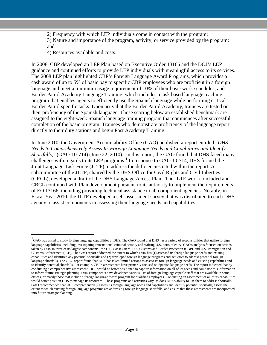2) Frequency with which LEP individuals come in contact with the program; 3) Nature and importance of the program, activity, or service provided by the program; and

4) Resources available and costs.

 $\overline{a}$ 

In 2008, CBP developed an LEP Plan based on Executive Order 13166 and the DOJ's LEP guidance and continued efforts to provide LEP individuals with meaningful access to its services. The 2008 LEP plan highlighted CBP's Foreign Language Award Programs, which provides a cash award of up to 5% of basic pay to specific CBP employees who are proficient in a foreign language and meet a minimum usage requirement of 10% of their basic work schedules, and Border Patrol Academy Language Training, which includes a task based language teaching program that enables agents to efficiently use the Spanish language while performing critical Border Patrol specific tasks. Upon arrival at the Border Patrol Academy, trainees are tested on their proficiency of the Spanish language. Those scoring below an established benchmark are assigned to the eight-week Spanish language training program that commences after successful completion of the basic program. Trainees who demonstrate proficiency of the language report directly to their duty stations and begin Post Academy Training.

In June 2010, the Government Accountability Office (GAO) published a report entitled "*DHS Needs to Comprehensively Assess Its Foreign Language Needs and Capabilities and Identify Shortfalls*," (GAO-10-714) (June 22, 2010). In this report, the GAO found that DHS faced many challenges with regards to its LEP programs.<sup>[1](#page-4-0)</sup> In response to GAO 10-714, DHS formed the Joint Language Task Force (JLTF) to address the deficiencies cited within the report*.* A subcommittee of the JLTF, chaired by the DHS Office for Civil Rights and Civil Liberties (CRCL), developed a draft of the DHS Language Access Plan. The JLTF work concluded and CRCL continued with Plan development pursuant to its authority to implement the requirements of EO 13166, including providing technical assistance to all component agencies. Notably, in Fiscal Year 2010, the JLTF developed a self-assessment survey that was distributed to each DHS agency to assist components in assessing their language needs and capabilities.

<span id="page-4-0"></span><sup>&</sup>lt;sup>1</sup>GAO was asked to study foreign language capabilities at DHS. The GAO found that DHS has a variety of responsibilities that utilize foreign language capabilities, including investigating transnational criminal activity and staffing U.S. ports of entry. GAO's analysis focused on actions taken by DHS in three of its largest components--the U.S. Coast Guard, U.S. Customs and Border Protection (CBP), and U.S. Immigration and Customs Enforcement (ICE). The GAO report addressed the extent to which DHS has (1) assessed its foreign language needs and existing capabilities and identified any potential shortfalls and (2) developed foreign language programs and activities to address potential foreign language shortfalls. The GAO report found that DHS has taken limited actions to assess its foreign language needs and existing capabilities and to identify potential shortfalls. For example, CBP's assessments have primarily focused on Spanish language needs. The report indicated that by conducting a comprehensive assessment, DHS would be better positioned to capture information on all of its needs and could use this information to inform future strategic planning. DHS components have developed various lists of foreign language capable staff that are available in some offices, primarily those that include a foreign language award program for qualified employees. Conducting an assessment of all of its capabilities would better position DHS to manage its resources. These programs and activities vary, as does DHS's ability to use them to address shortfalls. GAO recommended that DHS comprehensively assess its foreign language needs and capabilities and identify potential shortfalls, assess the extent to which existing foreign language programs are addressing foreign language shortfalls, and ensure that these assessments are incorporated into future strategic planning.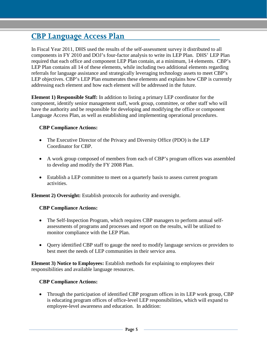## <span id="page-5-0"></span>**CBP Language Access Plan**

In Fiscal Year 2011, DHS used the results of the self-assessment survey it distributed to all components in FY 2010 and DOJ's four-factor analysis to write its LEP Plan. DHS' LEP Plan required that each office and component LEP Plan contain, at a minimum, 14 elements. CBP's LEP Plan contains all 14 of these elements, while including two additional elements regarding referrals for language assistance and strategically leveraging technology assets to meet CBP's LEP objectives. CBP's LEP Plan enumerates these elements and explains how CBP is currently addressing each element and how each element will be addressed in the future.

**Element 1) Responsible Staff:** In addition to listing a primary LEP coordinator for the component, identify senior management staff, work group, committee, or other staff who will have the authority and be responsible for developing and modifying the office or component Language Access Plan, as well as establishing and implementing operational procedures.

#### **CBP Compliance Actions:**

- The Executive Director of the Privacy and Diversity Office (PDO) is the LEP Coordinator for CBP.
- A work group composed of members from each of CBP's program offices was assembled to develop and modify the FY 2008 Plan.
- Establish a LEP committee to meet on a quarterly basis to assess current program activities.

**Element 2) Oversight:** Establish protocols for authority and oversight.

#### **CBP Compliance Actions:**

- The Self-Inspection Program, which requires CBP managers to perform annual selfassessments of programs and processes and report on the results, will be utilized to monitor compliance with the LEP Plan.
- Ouery identified CBP staff to gauge the need to modify language services or providers to best meet the needs of LEP communities in their service area.

**Element 3) Notice to Employees:** Establish methods for explaining to employees their responsibilities and available language resources.

#### **CBP Compliance Actions:**

• Through the participation of identified CBP program offices in its LEP work group, CBP is educating program offices of office-level LEP responsibilities, which will expand to employee-level awareness and education. In addition: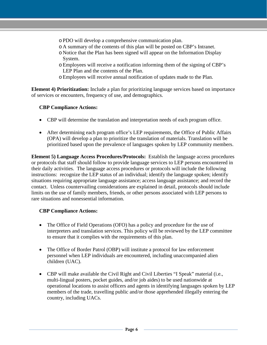- oPDO will develop a comprehensive communication plan.
- o A summary of the contents of this plan will be posted on CBP's Intranet.
- o Notice that the Plan has been signed will appear on the Information Display System.
- oEmployees will receive a notification informing them of the signing of CBP's LEP Plan and the contents of the Plan.
- oEmployees will receive annual notification of updates made to the Plan.

**Element 4) Prioritization:** Include a plan for prioritizing language services based on importance of services or encounters, frequency of use, and demographics.

#### **CBP Compliance Actions:**

- CBP will determine the translation and interpretation needs of each program office.
- After determining each program office's LEP requirements, the Office of Public Affairs (OPA) will develop a plan to prioritize the translation of materials. Translation will be prioritized based upon the prevalence of languages spoken by LEP community members.

**Element 5) Language Access Procedures/Protocols:** Establish the language access procedures or protocols that staff should follow to provide language services to LEP persons encountered in their daily activities. The language access procedures or protocols will include the following instructions: recognize the LEP status of an individual; identify the language spoken; identify situations requiring appropriate language assistance; access language assistance; and record the contact. Unless countervailing considerations are explained in detail, protocols should include limits on the use of family members, friends, or other persons associated with LEP persons to rare situations and nonessential information.

#### **CBP Compliance Actions:**

- The Office of Field Operations (OFO) has a policy and procedure for the use of interpreters and translation services. This policy will be reviewed by the LEP committee to ensure that it complies with the requirements of this plan.
- The Office of Border Patrol (OBP) will institute a protocol for law enforcement personnel when LEP individuals are encountered, including unaccompanied alien children (UAC).
- CBP will make available the Civil Right and Civil Liberties "I Speak" material (i.e., multi-lingual posters, pocket guides, and/or job aides) to be used nationwide at operational locations to assist officers and agents in identifying languages spoken by LEP members of the trade, travelling public and/or those apprehended illegally entering the country, including UACs.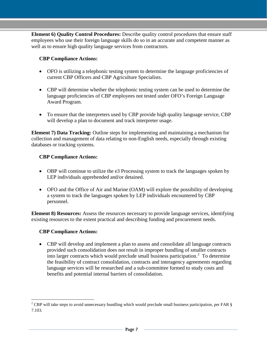**Element 6) Quality Control Procedures:** Describe quality control procedures that ensure staff employees who use their foreign language skills do so in an accurate and competent manner as well as to ensure high quality language services from contractors.

#### **CBP Compliance Actions:**

- OFO is utilizing a telephonic testing system to determine the language proficiencies of current CBP Officers and CBP Agriculture Specialists.
- CBP will determine whether the telephonic testing system can be used to determine the language proficiencies of CBP employees not tested under OFO's Foreign Language Award Program.
- To ensure that the interpreters used by CBP provide high quality language service, CBP will develop a plan to document and track interpreter usage.

**Element 7) Data Tracking:** Outline steps for implementing and maintaining a mechanism for collection and management of data relating to non-English needs, especially through existing databases or tracking systems.

#### **CBP Compliance Actions:**

- OBP will continue to utilize the e3 Processing system to track the languages spoken by LEP individuals apprehended and/or detained.
- OFO and the Office of Air and Marine (OAM) will explore the possibility of developing a system to track the languages spoken by LEP individuals encountered by CBP personnel.

**Element 8) Resources:** Assess the resources necessary to provide language services, identifying existing resources to the extent practical and describing funding and procurement needs.

#### **CBP Compliance Actions:**

 $\overline{a}$ 

• CBP will develop and implement a plan to assess and consolidate all language contracts provided such consolidation does not result in improper bundling of smaller contracts into larger contracts which would preclude small business participation.<sup>[2](#page-7-0)</sup> To determine the feasibility of contract consolidation, contracts and interagency agreements regarding language services will be researched and a sub-committee formed to study costs and benefits and potential internal barriers of consolidation.

<span id="page-7-0"></span><sup>&</sup>lt;sup>2</sup> CBP will take steps to avoid unnecessary bundling which would preclude small business participation, per FAR  $\S$ 7.103.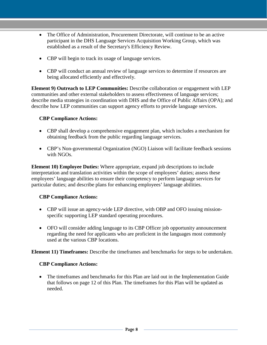- The Office of Administration, Procurement Directorate, will continue to be an active participant in the DHS Language Services Acquisition Working Group, which was established as a result of the Secretary's Efficiency Review.
- CBP will begin to track its usage of language services.
- CBP will conduct an annual review of language services to determine if resources are being allocated efficiently and effectively.

**Element 9) Outreach to LEP Communities:** Describe collaboration or engagement with LEP communities and other external stakeholders to assess effectiveness of language services; describe media strategies in coordination with DHS and the Office of Public Affairs (OPA); and describe how LEP communities can support agency efforts to provide language services.

#### **CBP Compliance Actions:**

- CBP shall develop a comprehensive engagement plan, which includes a mechanism for obtaining feedback from the public regarding language services.
- CBP's Non-governmental Organization (NGO) Liaison will facilitate feedback sessions with NGOs.

**Element 10) Employee Duties:** Where appropriate, expand job descriptions to include interpretation and translation activities within the scope of employees' duties; assess these employees' language abilities to ensure their competency to perform language services for particular duties; and describe plans for enhancing employees' language abilities.

#### **CBP Compliance Actions:**

- CBP will issue an agency-wide LEP directive, with OBP and OFO issuing missionspecific supporting LEP standard operating procedures.
- OFO will consider adding language to its CBP Officer job opportunity announcement regarding the need for applicants who are proficient in the languages most commonly used at the various CBP locations.

**Element 11) Timeframes:** Describe the timeframes and benchmarks for steps to be undertaken.

#### **CBP Compliance Actions:**

• The timeframes and benchmarks for this Plan are laid out in the Implementation Guide that follows on page 12 of this Plan. The timeframes for this Plan will be updated as needed.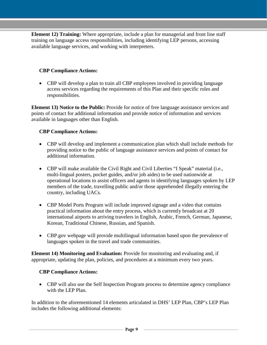**Element 12) Training:** Where appropriate, include a plan for managerial and front line staff training on language access responsibilities, including identifying LEP persons, accessing available language services, and working with interpreters.

#### **CBP Compliance Actions:**

• CBP will develop a plan to train all CBP employees involved in providing language access services regarding the requirements of this Plan and their specific roles and responsibilities.

**Element 13) Notice to the Public:** Provide for notice of free language assistance services and points of contact for additional information and provide notice of information and services available in languages other than English.

#### **CBP Compliance Actions:**

- CBP will develop and implement a communication plan which shall include methods for providing notice to the public of language assistance services and points of contact for additional information.
- CBP will make available the Civil Right and Civil Liberties "I Speak" material (i.e., multi-lingual posters, pocket guides, and/or job aides) to be used nationwide at operational locations to assist officers and agents in identifying languages spoken by LEP members of the trade, travelling public and/or those apprehended illegally entering the country, including UACs.
- CBP Model Ports Program will include improved signage and a video that contains practical information about the entry process, which is currently broadcast at 20 international airports to arriving travelers in English, Arabic, French, German, Japanese, Korean, Traditional Chinese, Russian, and Spanish.
- CBP.gov webpage will provide multilingual information based upon the prevalence of languages spoken in the travel and trade communities.

**Element 14) Monitoring and Evaluation:** Provide for monitoring and evaluating and, if appropriate, updating the plan, policies, and procedures at a minimum every two years.

#### **CBP Compliance Actions:**

• CBP will also use the Self Inspection Program process to determine agency compliance with the LEP Plan.

In addition to the aforementioned 14 elements articulated in DHS' LEP Plan, CBP's LEP Plan includes the following additional elements: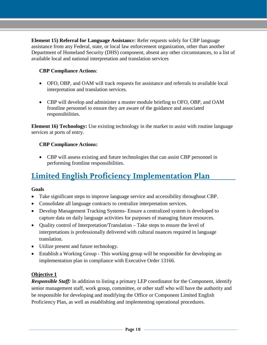**Element 15) Referral for Language Assistanc**e: Refer requests solely for CBP language assistance from any Federal, state, or local law enforcement organization, other than another Department of Homeland Security (DHS) component, absent any other circumstances, to a list of available local and national interpretation and translation services

#### **CBP Compliance Actions**:

- OFO, OBP, and OAM will track requests for assistance and referrals to available local interpretation and translation services.
- CBP will develop and administer a muster module briefing to OFO, OBP, and OAM frontline personnel to ensure they are aware of the guidance and associated responsibilities.

**Element 16) Technology:** Use existing technology in the market to assist with routine language services at ports of entry.

#### **CBP Compliance Actions:**

• CBP will assess existing and future technologies that can assist CBP personnel in performing frontline responsibilities.

## <span id="page-10-0"></span>**Limited English Proficiency Implementation Plan**

#### **Goals**

- Take significant steps to improve language service and accessibility throughout CBP.
- Consolidate all language contracts to centralize interpretation services.
- Develop Management Tracking Systems- Ensure a centralized system is developed to capture data on daily language activities for purposes of managing future resources.
- Quality control of Interpretation/Translation Take steps to ensure the level of interpretations is professionally delivered with cultural nuances required in language translation.
- Utilize present and future technology.
- Establish a Working Group This working group will be responsible for developing an implementation plan in compliance with Executive Order 13166.

#### **Objective 1**

*Responsible Staff:* In addition to listing a primary LEP coordinator for the Component, identify senior management staff, work group, committee, or other staff who will have the authority and be responsible for developing and modifying the Office or Component Limited English Proficiency Plan, as well as establishing and implementing operational procedures.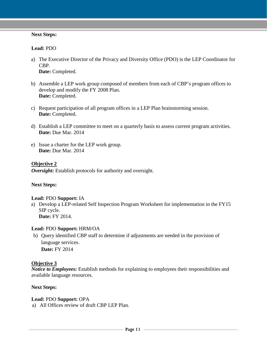#### **Next Steps:**

#### **Lead:** PDO

- a) The Executive Director of the Privacy and Diversity Office (PDO) is the LEP Coordinator for CBP. **Date:** Completed.
- b) Assemble a LEP work group composed of members from each of CBP's program offices to develop and modify the FY 2008 Plan. Date: Completed.
- c) Request participation of all program offices in a LEP Plan brainstorming session. **Date:** Completed.
- d) Establish a LEP committee to meet on a quarterly basis to assess current program activities. **Date:** Due Mar. 2014
- e) Issue a charter for the LEP work group. **Date:** Due Mar. 2014

#### **Objective 2**

**Oversight:** Establish protocols for authority and oversight.

#### **Next Steps:**

#### **Lead:** PDO **Support:** IA

a) Develop a LEP-related Self Inspection Program Worksheet for implementation in the FY15 SIP cycle. **Date:** FY 2014.

#### **Lead:** PDO **Support:** HRM/OA

b) Query identified CBP staff to determine if adjustments are needed in the provision of language services. **Date:** FY 2014

#### **Objective 3**

*Notice to Employees:* Establish methods for explaining to employees their responsibilities and available language resources.

#### **Next Steps:**

#### **Lead:** PDO **Support:** OPA

a) All Offices review of draft CBP LEP Plan.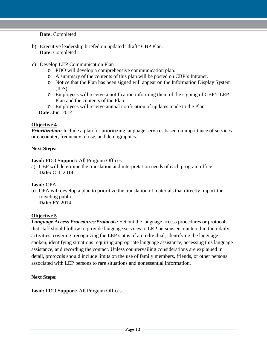**Date:** Completed

- b) Executive leadership briefed on updated "draft" CBP Plan. **Date:** Completed
- c) Develop LEP Communication Plan
	- o PDO will develop a comprehensive communication plan.
	- o A summary of the contents of this plan will be posted on CBP's Intranet.
	- o Notice that the Plan has been signed will appear on the Information Display System (IDS).
	- o Employees will receive a notification informing them of the signing of CBP's LEP Plan and the contents of the Plan.
	- o Employees will receive annual notification of updates made to the Plan.

**Date:** Jun. 2014

#### **Objective 4**

*Prioritization:* Include a plan for prioritizing language services based on importance of services or encounter, frequency of use, and demographics.

#### **Next Steps:**

#### **Lead:** PDO **Support:** All Program Offices

a) CBP will determine the translation and interpretation needs of each program office. **Date: Oct. 2014** 

#### **Lead:** OPA

b) OPA will develop a plan to prioritize the translation of materials that directly impact the traveling public.

**Date:** FY 2014

#### **Objective 5**

*Language Access Procedures/Protocols:* Set out the language access procedures or protocols that staff should follow to provide language services to LEP persons encountered in their daily activities, covering: recognizing the LEP status of an individual, identifying the language spoken, identifying situations requiring appropriate language assistance, accessing this language assistance, and recording the contact. Unless countervailing considerations are explained in detail, protocols should include limits on the use of family members, friends, or other persons associated with LEP persons to rare situations and nonessential information.

#### **Next Steps:**

#### **Lead:** PDO **Support:** All Program Offices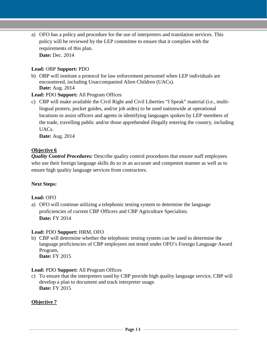a) OFO has a policy and procedure for the use of interpreters and translation services. This policy will be reviewed by the LEP committee to ensure that it complies with the requirements of this plan. **Date:** Dec. 2014

#### **Lead:** OBP **Support:** PDO

b) OBP will institute a protocol for law enforcement personnel when LEP individuals are encountered, including Unaccompanied Alien Children (UACs). **Date:** Aug. 2014

#### **Lead:** PDO **Support:** All Program Offices

c) CBP will make available the Civil Right and Civil Liberties "I Speak" material (i.e., multilingual posters, pocket guides, and/or job aides) to be used nationwide at operational locations to assist officers and agents in identifying languages spoken by LEP members of the trade, travelling public and/or those apprehended illegally entering the country, including UACs.

**Date:** Aug. 2014

#### **Objective 6**

*Quality Control Procedures: Describe quality control procedures that ensure staff employees* who use their foreign language skills do so in an accurate and competent manner as well as to ensure high quality language services from contractors.

#### **Next Steps:**

#### **Lead:** OFO

a) OFO will continue utilizing a telephonic testing system to determine the language proficiencies of current CBP Officers and CBP Agriculture Specialists. **Date:** FY 2014

#### **Lead:** PDO **Support:** HRM, OFO

b) CBP will determine whether the telephonic testing system can be used to determine the language proficiencies of CBP employees not tested under OFO's Foreign Language Award Program, **Date:** FY 2015

#### **Lead:** PDO **Support:** All Program Offices

c) To ensure that the interpreters used by CBP provide high quality language service, CBP will develop a plan to document and track interpreter usage. **Date:** FY 2015

#### **Objective 7**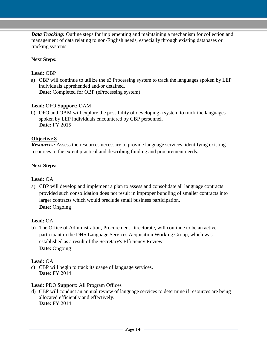*Data Tracking:* Outline steps for implementing and maintaining a mechanism for collection and management of data relating to non-English needs, especially through existing databases or tracking systems.

#### **Next Steps:**

#### **Lead:** OBP

a) OBP will continue to utilize the e3 Processing system to track the languages spoken by LEP individuals apprehended and/or detained. **Date:** Completed for OBP (eProcessing system)

#### **Lead:** OFO **Support:** OAM

b) OFO and OAM will explore the possibility of developing a system to track the languages spoken by LEP individuals encountered by CBP personnel. **Date:** FY 2015

#### **Objective 8**

*Resources:* Assess the resources necessary to provide language services, identifying existing resources to the extent practical and describing funding and procurement needs.

#### **Next Steps:**

#### **Lead:** OA

a) CBP will develop and implement a plan to assess and consolidate all language contracts provided such consolidation does not result in improper bundling of smaller contracts into larger contracts which would preclude small business participation. **Date:** Ongoing

#### **Lead:** OA

b) The Office of Administration, Procurement Directorate, will continue to be an active participant in the DHS Language Services Acquisition Working Group, which was established as a result of the Secretary's Efficiency Review. **Date:** Ongoing

#### **Lead:** OA

c) CBP will begin to track its usage of language services. **Date:** FY 2014

#### **Lead:** PDO **Support:** All Program Offices

d) CBP will conduct an annual review of language services to determine if resources are being allocated efficiently and effectively. **Date:** FY 2014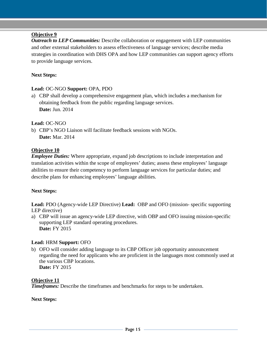#### **Objective 9**

*Outreach to LEP Communities:* Describe collaboration or engagement with LEP communities and other external stakeholders to assess effectiveness of language services; describe media strategies in coordination with DHS OPA and how LEP communities can support agency efforts to provide language services.

#### **Next Steps:**

#### **Lead:** OC-NGO **Support:** OPA, PDO

a) CBP shall develop a comprehensive engagement plan, which includes a mechanism for obtaining feedback from the public regarding language services. **Date:** Jun. 2014

#### **Lead:** OC-NGO

b) CBP's NGO Liaison will facilitate feedback sessions with NGOs. **Date:** Mar. 2014

#### **Objective 10**

*Employee Duties:* Where appropriate, expand job descriptions to include interpretation and translation activities within the scope of employees' duties; assess these employees' language abilities to ensure their competency to perform language services for particular duties; and describe plans for enhancing employees' language abilities.

#### **Next Steps:**

**Lead:** PDO (Agency-wide LEP Directive) **Lead:** OBP and OFO (mission- specific supporting LEP directive)

a) CBP will issue an agency-wide LEP directive, with OBP and OFO issuing mission-specific supporting LEP standard operating procedures. **Date:** FY 2015

#### **Lead:** HRM **Support:** OFO

b) OFO will consider adding language to its CBP Officer job opportunity announcement regarding the need for applicants who are proficient in the languages most commonly used at the various CBP locations. **Date:** FY 2015

#### **Objective 11**

*Timeframes:* Describe the timeframes and benchmarks for steps to be undertaken.

**Next Steps:**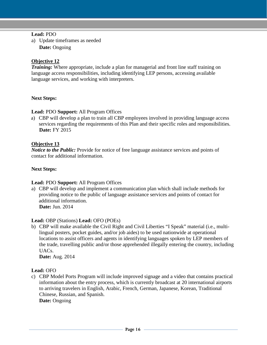#### **Lead:** PDO

a) Update timeframes as needed **Date:** Ongoing

#### **Objective 12**

*Training:* Where appropriate, include a plan for managerial and front line staff training on language access responsibilities, including identifying LEP persons, accessing available language services, and working with interpreters.

#### **Next Steps:**

**Lead:** PDO **Support:** All Program Offices

a) CBP will develop a plan to train all CBP employees involved in providing language access services regarding the requirements of this Plan and their specific roles and responsibilities. **Date:** FY 2015

#### **Objective 13**

*Notice to the Public:* Provide for notice of free language assistance services and points of contact for additional information.

#### **Next Steps:**

#### **Lead:** PDO **Support:** All Program Offices

a) CBP will develop and implement a communication plan which shall include methods for providing notice to the public of language assistance services and points of contact for additional information. **Date:** Jun. 2014

#### **Lead:** OBP (Stations) **Lead:** OFO (POEs)

b) CBP will make available the Civil Right and Civil Liberties "I Speak" material (i.e., multilingual posters, pocket guides, and/or job aides) to be used nationwide at operational locations to assist officers and agents in identifying languages spoken by LEP members of the trade, travelling public and/or those apprehended illegally entering the country, including UACs.

**Date:** Aug. 2014

#### **Lead:** OFO

c) CBP Model Ports Program will include improved signage and a video that contains practical information about the entry process, which is currently broadcast at 20 international airports to arriving travelers in English, Arabic, French, German, Japanese, Korean, Traditional Chinese, Russian, and Spanish. **Date:** Ongoing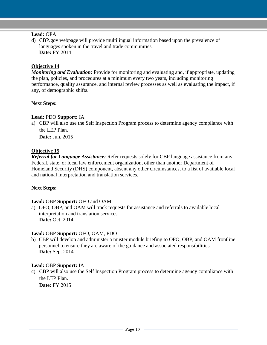#### **Lead:** OPA

d) CBP.gov webpage will provide multilingual information based upon the prevalence of languages spoken in the travel and trade communities. **Date:** FY 2014

#### **Objective 14**

*Monitoring and Evaluation:* Provide for monitoring and evaluating and, if appropriate, updating the plan, policies, and procedures at a minimum every two years, including monitoring performance, quality assurance, and internal review processes as well as evaluating the impact, if any, of demographic shifts.

#### **Next Steps:**

#### **Lead:** PDO **Support:** IA

a) CBP will also use the Self Inspection Program process to determine agency compliance with the LEP Plan.

**Date:** Jun. 2015

#### **Objective 15**

*Referral for Language Assistance:* Refer requests solely for CBP language assistance from any Federal, state, or local law enforcement organization, other than another Department of Homeland Security (DHS) component, absent any other circumstances, to a list of available local and national interpretation and translation services.

#### **Next Steps:**

#### **Lead:** OBP **Support:** OFO and OAM

a) OFO, OBP, and OAM will track requests for assistance and referrals to available local interpretation and translation services. **Date:** Oct. 2014

#### **Lead:** OBP **Support:** OFO, OAM, PDO

b) CBP will develop and administer a muster module briefing to OFO, OBP, and OAM frontline personnel to ensure they are aware of the guidance and associated responsibilities. **Date:** Sep. 2014

#### **Lead:** OBP **Support:** IA

c) CBP will also use the Self Inspection Program process to determine agency compliance with the LEP Plan.

**Date:** FY 2015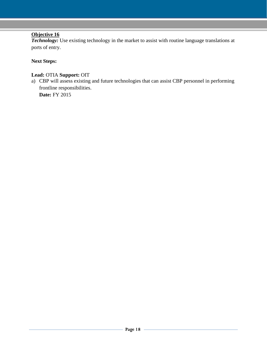#### **Objective 16**

**Technology:** Use existing technology in the market to assist with routine language translations at ports of entry.

#### **Next Steps:**

#### **Lead:** OTIA **Support:** OIT

a) CBP will assess existing and future technologies that can assist CBP personnel in performing frontline responsibilities.

**Date:** FY 2015